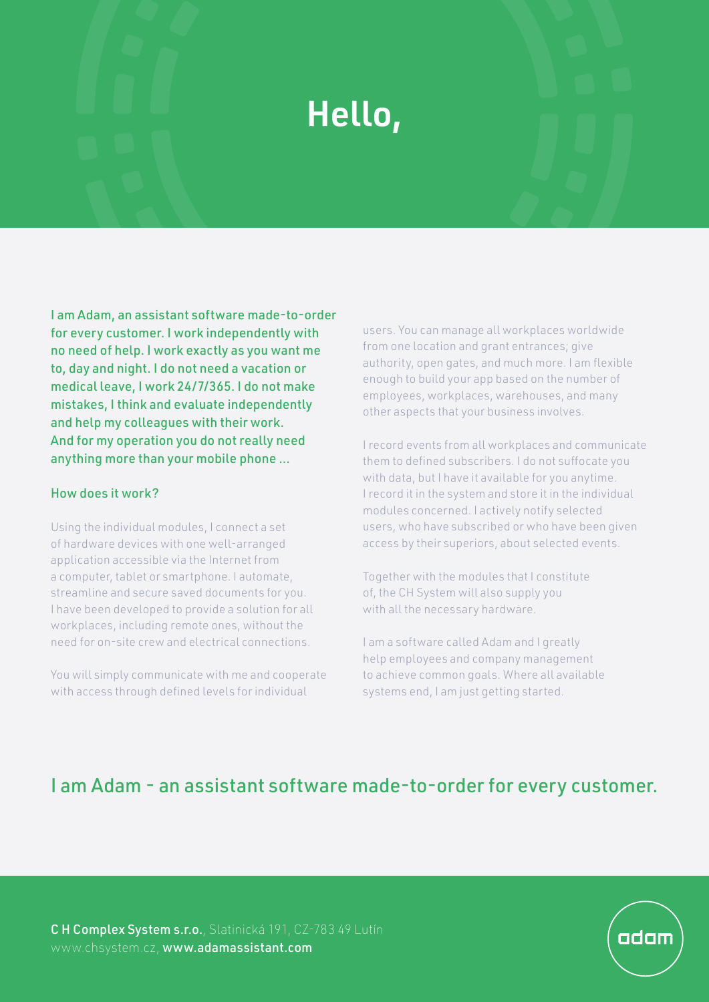## Hello,

I am Adam, an assistant software made-to-order for every customer. I work independently with no need of help. I work exactly as you want me to, day and night. I do not need a vacation or medical leave, I work 24/7/365. I do not make mistakes, I think and evaluate independently and help my colleagues with their work. And for my operation you do not really need anything more than your mobile phone ...

## How does it work?

Using the individual modules, I connect a set of hardware devices with one well-arranged application accessible via the Internet from a computer, tablet or smartphone. I automate, streamline and secure saved documents for you. I have been developed to provide a solution for all workplaces, including remote ones, without the need for on-site crew and electrical connections.

You will simply communicate with me and cooperate with access through defined levels for individual

users. You can manage all workplaces worldwide from one location and grant entrances; give authority, open gates, and much more. I am flexible enough to build your app based on the number of employees, workplaces, warehouses, and many other aspects that your business involves.

I record events from all workplaces and communicate them to defined subscribers. I do not suffocate you with data, but I have it available for you anytime. I record it in the system and store it in the individual modules concerned. I actively notify selected users, who have subscribed or who have been given access by their superiors, about selected events.

Together with the modules that I constitute of, the CH System will also supply you with all the necessary hardware.

I am a software called Adam and I greatly help employees and company management to achieve common goals. Where all available systems end, I am just getting started.

## I am Adam - an assistant software made-to-order for every customer.